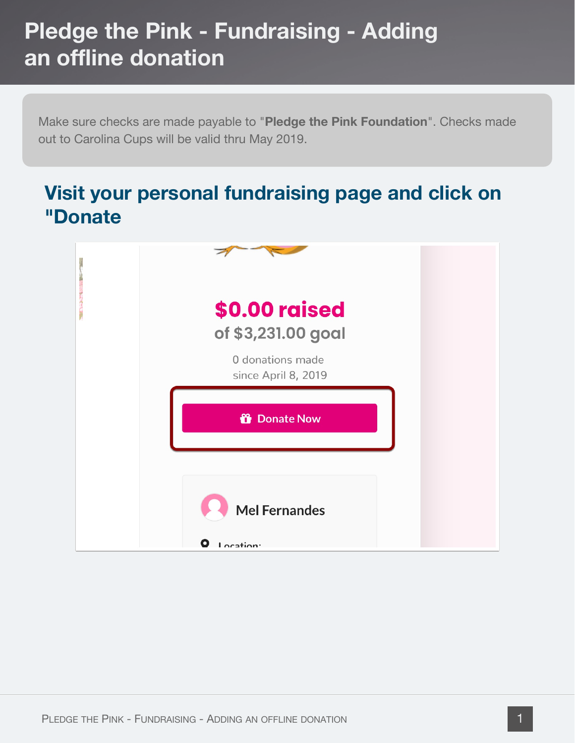Make sure checks are made payable to "**Pledge the Pink Foundation**". Checks made out to Carolina Cups will be valid thru May 2019.

#### **Visit your personal fundraising page and click on "Donate**

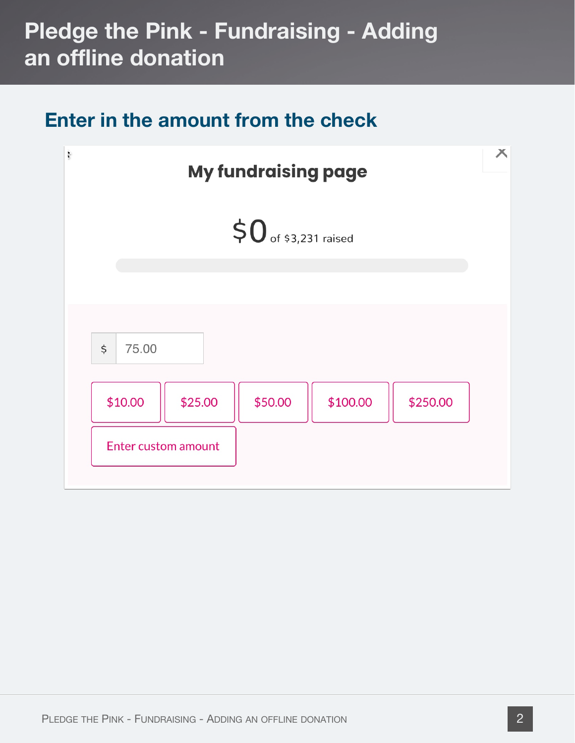#### **Enter in the amount from the check**

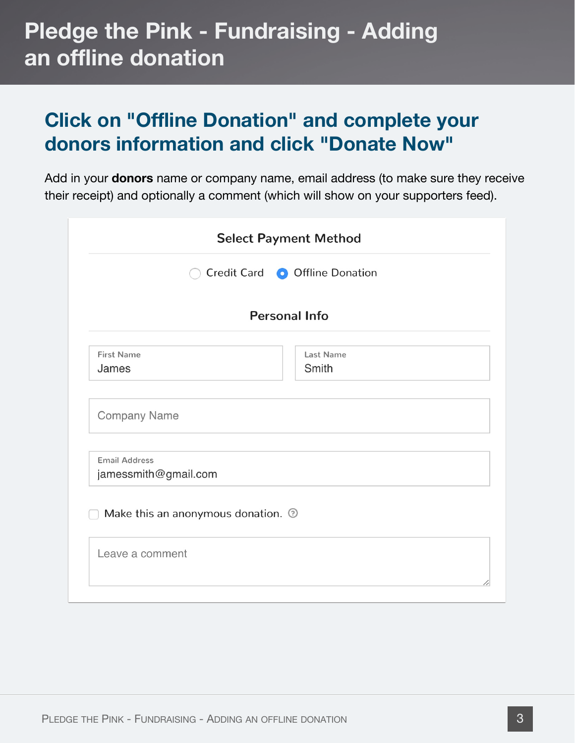#### **Click on "Offline Donation" and complete your donors information and click "Donate Now"**

Add in your **donors** name or company name, email address (to make sure they receive their receipt) and optionally a comment (which will show on your supporters feed).

|                                                          | <b>Select Payment Method</b> |  |
|----------------------------------------------------------|------------------------------|--|
| Credit Card   O Offline Donation<br><b>Personal Info</b> |                              |  |
|                                                          |                              |  |
| <b>Company Name</b>                                      |                              |  |
| <b>Email Address</b><br>jamessmith@gmail.com             |                              |  |
| Make this an anonymous donation. 2                       |                              |  |
| Leave a comment                                          |                              |  |
|                                                          |                              |  |